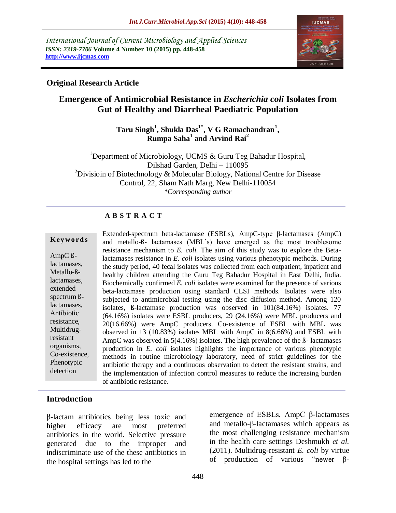*International Journal of Current Microbiology and Applied Sciences ISSN: 2319-7706* **Volume 4 Number 10 (2015) pp. 448-458 http://www.ijcmas.com** 



### **Original Research Article**

# **Emergence of Antimicrobial Resistance in** *Escherichia coli* **Isolates from Gut of Healthy and Diarrheal Paediatric Population**

### **Taru Singh<sup>1</sup> , Shukla Das1\* , V G Ramachandran<sup>1</sup> , Rumpa Saha<sup>1</sup> and Arvind Rai<sup>2</sup>**

<sup>1</sup>Department of Microbiology, UCMS  $\&$  Guru Teg Bahadur Hospital, Dilshad Garden, Delhi – 110095 <sup>2</sup>Divisioin of Biotechnology & Molecular Biology, National Centre for Disease Control, 22, Sham Nath Marg, New Delhi-110054 *\*Corresponding author*

### **A B S T R A C T**

#### **K ey w o rd s**

AmpC ßlactamases, Metallo-ßlactamases, extended spectrum ßlactamases, Antibiotic resistance, Multidrugresistant organisms, Co-existence, Phenotypic detection

Extended-spectrum beta-lactamase (ESBLs), AmpC-type β-lactamases (AmpC) and metallo-ß- lactamases (MBL's) have emerged as the most troublesome resistance mechanism to *E. coli.* The aim of this study was to explore the Betalactamases resistance in *E. coli* isolates using various phenotypic methods. During the study period, 40 fecal isolates was collected from each outpatient, inpatient and healthy children attending the Guru Teg Bahadur Hospital in East Delhi, India. Biochemically confirmed *E. coli* isolates were examined for the presence of various beta-lactamase production using standard CLSI methods. Isolates were also subjected to antimicrobial testing using the disc diffusion method. Among 120 isolates, ß-lactamase production was observed in 101(84.16%) isolates. 77 (64.16%) isolates were ESBL producers, 29 (24.16%) were MBL producers and 20(16.66%) were AmpC producers. Co-existence of ESBL with MBL was observed in 13 (10.83%) isolates MBL with AmpC in 8(6.66%) and ESBL with AmpC was observed in 5(4.16%) isolates. The high prevalence of the ß- lactamases production in *E. coli* isolates highlights the importance of various phenotypic methods in routine microbiology laboratory, need of strict guidelines for the antibiotic therapy and a continuous observation to detect the resistant strains, and the implementation of infection control measures to reduce the increasing burden of antibiotic resistance.

### **Introduction**

β-lactam antibiotics being less toxic and higher efficacy are most preferred antibiotics in the world. Selective pressure generated due to the improper and indiscriminate use of the these antibiotics in the hospital settings has led to the

emergence of ESBLs, AmpC β-lactamases and metallo-β-lactamases which appears as the most challenging resistance mechanism in the health care settings Deshmukh *et al.*  (2011). Multidrug-resistant *E. coli* by virtue of production of various "newer β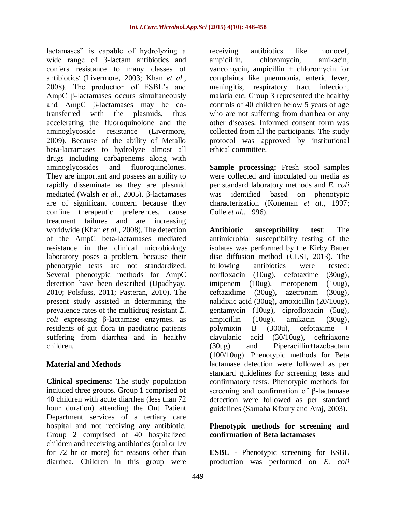lactamases" is capable of hydrolyzing a wide range of β-lactam antibiotics and confers resistance to many classes of antibiotics. (Livermore, 2003; Khan *et al.,* 2008). The production of ESBL's and AmpC β-lactamases occurs simultaneously and AmpC β-lactamases may be cotransferred with the plasmids, thus accelerating the fluoroquinolone and the aminoglycoside resistance (Livermore, 2009). Because of the ability of Metallo beta-lactamases to hydrolyze almost all drugs including carbapenems along with aminoglycosides and fluoroquinolones. They are important and possess an ability to rapidly disseminate as they are plasmid mediated (Walsh *et al.,* 2005). β-lactamases are of significant concern because they confine therapeutic preferences, cause treatment failures and are increasing worldwide (Khan *et al.,* 2008). The detection of the AmpC beta-lactamases mediated resistance in the clinical microbiology laboratory poses a problem, because their phenotypic tests are not standardized. Several phenotypic methods for AmpC detection have been described (Upadhyay, 2010; Polsfuss, 2011; Pasteran, 2010). The present study assisted in determining the prevalence rates of the multidrug resistant *E. coli* expressing β-lactamase enzymes, as residents of gut flora in paediatric patients suffering from diarrhea and in healthy children.

### **Material and Methods**

**Clinical specimens:** The study population included three groups. Group 1 comprised of 40 children with acute diarrhea (less than 72 hour duration) attending the Out Patient Department services of a tertiary care hospital and not receiving any antibiotic. Group 2 comprised of 40 hospitalized children and receiving antibiotics (oral or I/v for 72 hr or more) for reasons other than diarrhea. Children in this group were

receiving antibiotics like monocef, ampicillin, chloromycin, amikacin, vancomycin, ampicillin  $+$  chloromycin for complaints like pneumonia, enteric fever, meningitis, respiratory tract infection, malaria etc. Group 3 represented the healthy controls of 40 children below 5 years of age who are not suffering from diarrhea or any other diseases. Informed consent form was collected from all the participants. The study protocol was approved by institutional ethical committee.

**Sample processing:** Fresh stool samples were collected and inoculated on media as per standard laboratory methods and *E. coli* was identified based on phenotypic characterization (Koneman *et al.,* 1997; Colle *et al.,* 1996).

**Antibiotic susceptibility test**: The antimicrobial susceptibility testing of the isolates was performed by the Kirby Bauer disc diffusion method (CLSI, 2013). The following antibiotics were tested: norfloxacin (10ug), cefotaxime (30ug), imipenem (10ug), meropenem (10ug), ceftazidime (30ug), azetronam (30ug), nalidixic acid (30ug), amoxicillin (20/10ug), gentamycin (10ug), ciprofloxacin (5ug), ampicillin (10ug), amikacin (30ug), polymixin B (300u), cefotaxime + clavulanic acid (30/10ug), ceftriaxone (30ug) and Piperacillin+tazobactam (100/10ug). Phenotypic methods for Beta lactamase detection were followed as per standard guidelines for screening tests and confirmatory tests. Phenotypic methods for screening and confirmation of β-lactamase detection were followed as per standard guidelines (Samaha Kfoury and Araj, 2003).

### **Phenotypic methods for screening and confirmation of Beta lactamases**

**ESBL** - Phenotypic screening for ESBL production was performed on *E. coli*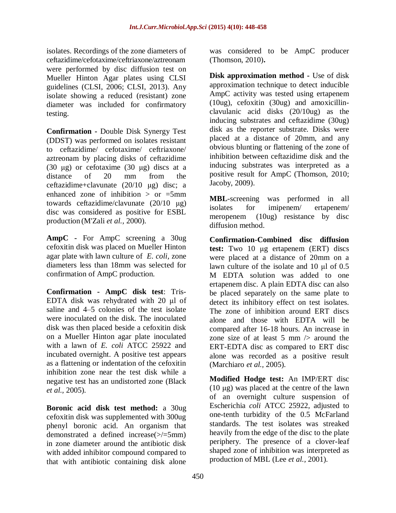isolates. Recordings of the zone diameters of ceftazidime/cefotaxime/ceftriaxone/aztreonam were performed by disc diffusion test on Mueller Hinton Agar plates using CLSI guidelines (CLSI, 2006; CLSI, 2013). Any isolate showing a reduced (resistant) zone diameter was included for confirmatory testing.

**Confirmation -** Double Disk Synergy Test (DDST) was performed on isolates resistant to ceftazidime/ cefotaxime/ ceftriaxone/ aztreonam by placing disks of ceftazidime (30 μg) or cefotaxime (30 μg) discs at a distance of 20 mm from the ceftazidime+clavunate (20/10 μg) disc; a enhanced zone of inhibition  $>$  or  $=5$ mm towards ceftazidime/clavunate (20/10 μg) disc was considered as positive for ESBL production (M'Zali *et al.,* 2000).

**AmpC -** For AmpC screening a 30ug cefoxitin disk was placed on Mueller Hinton agar plate with lawn culture of *E. coli,* zone diameters less than 18mm was selected for confirmation of AmpC production.

**Confirmation - AmpC disk test**: Tris-EDTA disk was rehydrated with 20 μl of saline and 4–5 colonies of the test isolate were inoculated on the disk. The inoculated disk was then placed beside a cefoxitin disk on a Mueller Hinton agar plate inoculated with a lawn of *E. coli* ATCC 25922 and incubated overnight. A positive test appears as a flattening or indentation of the cefoxitin inhibition zone near the test disk while a negative test has an undistorted zone (Black *et al.,* 2005).

**Boronic acid disk test method:** a 30ug cefoxitin disk was supplemented with 300ug phenyl boronic acid. An organism that demonstrated a defined increase( $\ge$ /=5mm) in zone diameter around the antibiotic disk with added inhibitor compound compared to that with antibiotic containing disk alone

was considered to be AmpC producer (Thomson, 2010)**.**

**Disk approximation method -** Use of disk approximation technique to detect inducible AmpC activity was tested using ertapenem (10ug), cefoxitin (30ug) and amoxicillinclavulanic acid disks (20/10ug) as the inducing substrates and ceftazidime (30ug) disk as the reporter substrate. Disks were placed at a distance of 20mm, and any obvious blunting or flattening of the zone of inhibition between ceftazidime disk and the inducing substrates was interpreted as a positive result for AmpC (Thomson, 2010; Jacoby, 2009).

**MBL**-screening was performed in all isolates for imipenem/ ertapenem/ meropenem (10ug) resistance by disc diffusion method.

**Confirmation-Combined disc diffusion test:** Two 10 μg ertapenem (ERT) discs were placed at a distance of 20mm on a lawn culture of the isolate and 10 μl of 0.5 M EDTA solution was added to one ertapenem disc. A plain EDTA disc can also be placed separately on the same plate to detect its inhibitory effect on test isolates. The zone of inhibition around ERT discs alone and those with EDTA will be compared after 16-18 hours. An increase in zone size of at least 5 mm  $\ge$  around the ERT-EDTA disc as compared to ERT disc alone was recorded as a positive result (Marchiaro *et al.,* 2005).

**Modified Hodge test:** An IMP/ERT disc (10 μg) was placed at the centre of the lawn of an overnight culture suspension of Escherichia *coli* ATCC 25922, adjusted to one-tenth turbidity of the 0.5 McFarland standards. The test isolates was streaked heavily from the edge of the disc to the plate periphery. The presence of a clover-leaf shaped zone of inhibition was interpreted as production of MBL (Lee *et al.,* 2001).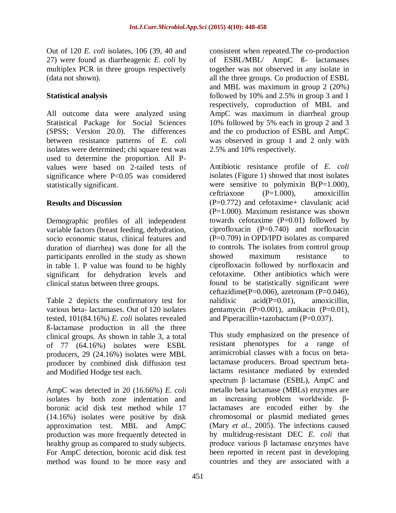Out of 120 *E. coli* isolates, 106 (39, 40 and 27) were found as diarrheagenic *E. coli* by multiplex PCR in three groups respectively (data not shown).

### **Statistical analysis**

All outcome data were analyzed using Statistical Package for Social Sciences (SPSS; Version 20.0). The differences between resistance patterns of *E. coli* isolates were determined; chi square test was used to determine the proportion. All Pvalues were based on 2-tailed tests of significance where P<0.05 was considered statistically significant.

### **Results and Discussion**

Demographic profiles of all independent variable factors (breast feeding, dehydration, socio economic status, clinical features and duration of diarrhea) was done for all the participants enrolled in the study as shown in table 1. P value was found to be highly significant for dehydration levels and clinical status between three groups.

Table 2 depicts the confirmatory test for various beta- lactamases. Out of 120 isolates tested, 101(84.16%) *E. coli* isolates revealed ß-lactamase production in all the three clinical groups. As shown in table 3, a total of 77 (64.16%) isolates were ESBL producers, 29 (24.16%) isolates were MBL producer by combined disk diffusion test and Modified Hodge test each.

AmpC was detected in 20 (16.66%) *E. coli* isolates by both zone indentation and boronic acid disk test method while 17 (14.16%) isolates were positive by disk approximation test. MBL and AmpC production was more frequently detected in healthy group as compared to study subjects. For AmpC detection, boronic acid disk test method was found to be more easy and

consistent when repeated.The co-production of ESBL/MBL/ AmpC ß- lactamases together was not observed in any isolate in all the three groups. Co production of ESBL and MBL was maximum in group 2 (20%) followed by 10% and 2.5% in group 3 and 1 respectively, coproduction of MBL and AmpC was maximum in diarrheal group 10% followed by 5% each in group 2 and 3 and the co production of ESBL and AmpC was observed in group 1 and 2 only with 2.5% and 10% respectively.

Antibiotic resistance profile of *E. coli* isolates (Figure 1) showed that most isolates were sensitive to polymixin  $B(P=1.000)$ , ceftriaxone (P=1.000), amoxicillin (P=0.772) and cefotaxime+ clavulanic acid (P=1.000). Maximum resistance was shown towards cefotaxime  $(P=0.01)$  followed by ciprofloxacin  $(P=0.740)$  and norfloxacin (P=0.709) in OPD/IPD isolates as compared to controls. The isolates from control group showed maximum resistance to ciprofloxacin followed by norfloxacin and cefotaxime. Other antibiotics which were found to be statistically significant were ceftazidime( $P=0.006$ ), azetronam ( $P=0.046$ ), nalidixic  $\alpha$ cid(P=0.01), amoxicillin, gentamycin (P=0.001), amikacin (P=0.01), and Piperacillin+tazobactam (P=0.037).

This study emphasized on the presence of resistant phenotypes for a range of antimicrobial classes with a focus on betalactamase producers. Broad spectrum betalactams resistance mediated by extended spectrum  $\beta$ -lactamase (ESBL), AmpC and metallo beta lactamase (MBLs) enzymes are an increasing problem worldwide. βlactamases are encoded either by the chromosomal or plasmid mediated genes (Mary *et al.,* 2005). The infections caused by multidrug-resistant DEC *E. coli* that produce various β lactamase enzymes have been reported in recent past in developing countries and they are associated with a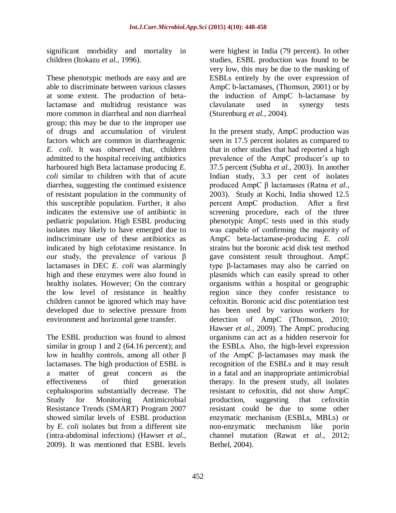significant morbidity and mortality in children (Itokazu *et al.,* 1996).

These phenotypic methods are easy and are able to discriminate between various classes at some extent. The production of betalactamase and multidrug resistance was more common in diarrheal and non diarrheal group; this may be due to the improper use of drugs and accumulation of virulent factors which are common in diarrheagenic *E. coli*. It was observed that, children admitted to the hospital receiving antibiotics harboured high Beta lactamase producing *E. coli* similar to children with that of acute diarrhea, suggesting the continued existence of resistant population in the community of this susceptible population. Further, it also indicates the extensive use of antibiotic in pediatric population. High ESBL producing isolates may likely to have emerged due to indiscriminate use of these antibiotics as indicated by high cefotaxime resistance. In our study, the prevalence of various β lactamases in DEC *E. coli* was alarmingly high and these enzymes were also found in healthy isolates. However; On the contrary the low level of resistance in healthy children cannot be ignored which may have developed due to selective pressure from environment and horizontal gene transfer.

The ESBL production was found to almost similar in group 1 and 2 (64.16 percent); and low in healthy controls, among all other β lactamases. The high production of ESBL is a matter of great concern as the effectiveness of third generation cephalosporins substantially decrease. The Study for Monitoring Antimicrobial Resistance Trends (SMART) Program 2007 showed similar levels of ESBL production by *E. coli* isolates but from a different site (intra-abdominal infections) (Hawser *et al.,* 2009). It was mentioned that ESBL levels

were highest in India (79 percent). In other studies, ESBL production was found to be very low, this may be due to the masking of ESBLs entirely by the over expression of AmpC b-lactamases, (Thomson, 2001) or by the induction of AmpC b-lactamase by clavulanate used in synergy tests (Sturenburg *et al.,* 2004).

In the present study, AmpC production was seen in 17.5 percent isolates as compared to that in other studies that had reported a high prevalence of the AmpC producer's up to 37.5 percent (Subha *et al.,* 2003). In another Indian study, 3.3 per cent of isolates produced AmpC β lactamases (Ratna *et al.,* 2003). Study at Kochi, India showed 12.5 percent AmpC production. After a first screening procedure, each of the three phenotypic AmpC tests used in this study was capable of confirming the majority of AmpC beta-lactamase-producing *E. coli* strains but the boronic acid disk test method gave consistent result throughout. AmpC type β-lactamases may also be carried on plasmids which can easily spread to other organisms within a hospital or geographic region since they confer resistance to cefoxitin. Boronic acid disc potentiation test has been used by various workers for detection of AmpC (Thomson, 2010; Hawser *et al.,* 2009). The AmpC producing organisms can act as a hidden reservoir for the ESBLs. Also, the high-level expression of the AmpC β-lactamases may mask the recognition of the ESBLs and it may result in a fatal and an inappropriate antimicrobial therapy. In the present study, all isolates resistant to cefoxitin, did not show AmpC production, suggesting that cefoxitin resistant could be due to some other enzymatic mechanism (ESBLs, MBLs) or non-enzymatic mechanism like porin channel mutation (Rawat *et al.,* 2012; Bethel, 2004).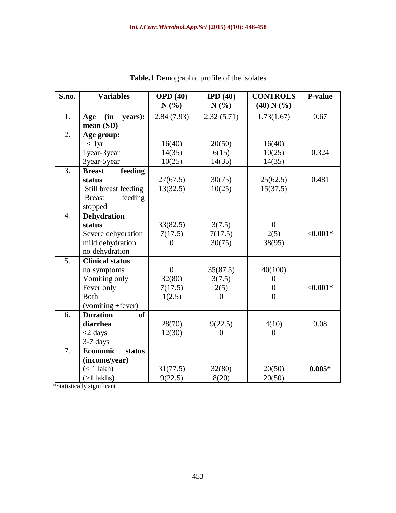| S.no.            | <b>Variables</b>          | <b>OPD</b> (40)<br>IPD $(40)$ |                  | <b>CONTROLS</b>  | P-value    |  |
|------------------|---------------------------|-------------------------------|------------------|------------------|------------|--|
|                  |                           | N(%)                          | N(%)             | (40) N (%)       |            |  |
| 1.               | (in)<br>years):<br>Age    | 2.84(7.93)                    | 2.32(5.71)       | 1.73(1.67)       | 0.67       |  |
|                  | mean (SD)                 |                               |                  |                  |            |  |
| 2.               | Age group:                |                               |                  |                  |            |  |
|                  | < 1yr                     | 16(40)                        | 20(50)           | 16(40)           |            |  |
|                  | 1year-3year               | 14(35)                        | 6(15)            | 10(25)           | 0.324      |  |
|                  | 3year-5year               | 10(25)                        | 14(35)           | 14(35)           |            |  |
| 3.               | feeding<br><b>Breast</b>  |                               |                  |                  |            |  |
|                  | status                    | 27(67.5)                      | 30(75)           | 25(62.5)         | 0.481      |  |
|                  | Still breast feeding      | 13(32.5)                      | 10(25)           | 15(37.5)         |            |  |
|                  | <b>Breast</b><br>feeding  |                               |                  |                  |            |  |
|                  | stopped                   |                               |                  |                  |            |  |
| $\overline{4}$ . | Dehydration               |                               |                  |                  |            |  |
|                  | status                    | 33(82.5)                      | 3(7.5)           | $\boldsymbol{0}$ |            |  |
|                  | Severe dehydration        | 7(17.5)                       | 7(17.5)          | 2(5)             | $< 0.001*$ |  |
|                  | mild dehydration          | $\theta$                      | 30(75)           | 38(95)           |            |  |
|                  | no dehydration            |                               |                  |                  |            |  |
| $\overline{5}$ . | <b>Clinical status</b>    |                               |                  |                  |            |  |
|                  | no symptoms               | $\boldsymbol{0}$              | 35(87.5)         | 40(100)          |            |  |
|                  | Vomiting only             | 32(80)                        | 3(7.5)           | $\Omega$         |            |  |
|                  | Fever only                | 7(17.5)                       | 2(5)             | $\overline{0}$   | $< 0.001*$ |  |
|                  | <b>Both</b>               | 1(2.5)                        | $\Omega$         | $\theta$         |            |  |
|                  | (vomiting +fever)         |                               |                  |                  |            |  |
| 6.               | of<br><b>Duration</b>     |                               |                  |                  |            |  |
|                  | diarrhea                  | 28(70)                        | 9(22.5)          | 4(10)            | 0.08       |  |
|                  | $<$ 2 days                | 12(30)                        | $\boldsymbol{0}$ | $\overline{0}$   |            |  |
|                  | $3-7$ days                |                               |                  |                  |            |  |
| 7.               | <b>Economic</b><br>status |                               |                  |                  |            |  |
|                  | (income/year)             |                               |                  |                  |            |  |
|                  | $(< 1$ lakh)              | 31(77.5)                      | 32(80)           | 20(50)           | $0.005*$   |  |
|                  | $(>1$ lakhs)              | 9(22.5)                       | 8(20)            | 20(50)           |            |  |

**Table.1** Demographic profile of the isolates

\*Statistically significant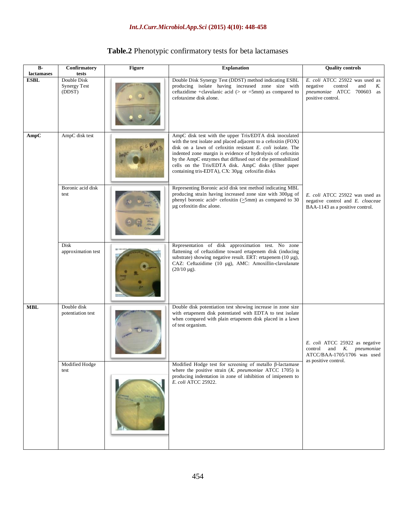| Table.2 Phenotypic confirmatory tests for beta lactamases |  |
|-----------------------------------------------------------|--|
|-----------------------------------------------------------|--|

| $B-$<br>lactamases | <b>Figure</b><br>Confirmatory<br>tests       |               | <b>Explanation</b>                                                                                                                                                                                                                                                                                                                                                                                                               | <b>Quality controls</b>                                                                                              |  |
|--------------------|----------------------------------------------|---------------|----------------------------------------------------------------------------------------------------------------------------------------------------------------------------------------------------------------------------------------------------------------------------------------------------------------------------------------------------------------------------------------------------------------------------------|----------------------------------------------------------------------------------------------------------------------|--|
| <b>ESBL</b>        | Double Disk<br><b>Synergy Test</b><br>(DDST) |               | Double Disk Synergy Test (DDST) method indicating ESBL<br>producing isolate having increased zone size with<br>ceftazidime +clavulanic acid ( $>$ or =5mm) as compared to<br>cefotaxime disk alone.                                                                                                                                                                                                                              | E. coli ATCC 25922 was used as<br>negative<br>control<br>and<br>K.<br>pneumoniae ATCC 700603 as<br>positive control. |  |
| AmpC               | AmpC disk test                               |               | AmpC disk test with the upper Tris/EDTA disk inoculated<br>with the test isolate and placed adjacent to a cefoxitin (FOX)<br>disk on a lawn of cefoxitin resistant E. coli isolate. The<br>indented zone margin is evidence of hydrolysis of cefoxitin<br>by the AmpC enzymes that diffused out of the permeabilized<br>cells on the Tris/EDTA disk. AmpC disks (filter paper<br>containing tris-EDTA), CX: 30µg cefoxifin disks |                                                                                                                      |  |
|                    | Boronic acid disk<br>test                    |               | Representing Boronic acid disk test method indicating MBL<br>producing strain having increased zone size with 300µg of<br>phenyl boronic acid+ cefoxitin (>5mm) as compared to 30<br>µg cefoxitin disc alone.                                                                                                                                                                                                                    | E. coli ATCC 25922 was used as<br>negative control and E. cloaceae<br>BAA-1143 as a positive control.                |  |
|                    | Disk<br>approximation test                   |               | Representation of disk approximation test. No zone<br>flattening of ceftazidime toward ertapenem disk (inducing<br>substrate) showing negative result. ERT: ertapenem (10 µg),<br>CAZ: Ceftazidime (10 µg), AMC: Amoxillin-clavulanate<br>$(20/10 \mu g)$ .                                                                                                                                                                      |                                                                                                                      |  |
| <b>MBL</b>         | Double disk<br>potentiation test             | <b>ETEDTA</b> | Double disk potentiation test showing increase in zone size<br>with ertapenem disk potentiated with EDTA to test isolate<br>when compared with plain ertapenem disk placed in a lawn<br>of test organism.                                                                                                                                                                                                                        | E. coli ATCC 25922 as negative<br>control<br>and<br>K.<br>pneumoniae<br>ATCC/BAA-1705/1706 was used                  |  |
|                    | Modified Hodge<br>test                       |               | Modified Hodge test for screening of metallo $\beta$ -lactamase<br>where the positive strain $(K.$ pneumoniae ATCC 1705) is<br>producing indentation in zone of inhibition of imipenem to<br>E. coli ATCC 25922.                                                                                                                                                                                                                 | as positive control.                                                                                                 |  |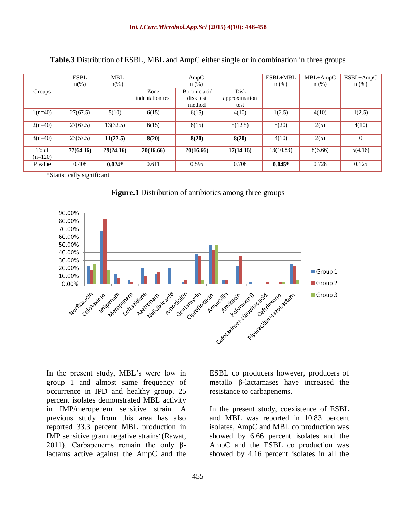|           | <b>ESBL</b>         | <b>MBL</b>         | AmpC             |              | ESBL+MBL      | MBL+AmpC  | $ESBL+AmpC$ |                |
|-----------|---------------------|--------------------|------------------|--------------|---------------|-----------|-------------|----------------|
|           | $n\frac{\omega}{6}$ | $n\left(\%\right)$ | $n$ (%)          |              | $n$ (%)       | $n$ (%)   | $n$ (%)     |                |
| Groups    |                     |                    | Zone             | Boronic acid | Disk          |           |             |                |
|           |                     |                    | indentation test | disk test    | approximation |           |             |                |
|           |                     |                    |                  | method       | test          |           |             |                |
| $1(n=40)$ | 27(67.5)            | 5(10)              | 6(15)            | 6(15)        | 4(10)         | 1(2.5)    | 4(10)       | 1(2.5)         |
|           |                     |                    |                  |              |               |           |             |                |
| $2(n=40)$ | 27(67.5)            | 13(32.5)           | 6(15)            | 6(15)        | 5(12.5)       | 8(20)     | 2(5)        | 4(10)          |
|           |                     |                    |                  |              |               |           |             |                |
| $3(n=40)$ | 23(57.5)            | 11(27.5)           | 8(20)            | 8(20)        | 8(20)         | 4(10)     | 2(5)        | $\overline{0}$ |
| Total     | 77(64.16)           | 29(24.16)          | 20(16.66)        | 20(16.66)    | 17(14.16)     | 13(10.83) | 8(6.66)     | 5(4.16)        |
| $(n=120)$ |                     |                    |                  |              |               |           |             |                |
| P value   | 0.408               | $0.024*$           | 0.611            | 0.595        | 0.708         | $0.045*$  | 0.728       | 0.125          |

**Table.3** Distribution of ESBL, MBL and AmpC either single or in combination in three groups

\*Statistically significant

**Figure.1** Distribution of antibiotics among three groups



In the present study, MBL's were low in group 1 and almost same frequency of occurrence in IPD and healthy group. 25 percent isolates demonstrated MBL activity in IMP/meropenem sensitive strain. A previous study from this area has also reported 33.3 percent MBL production in IMP sensitive gram negative strains (Rawat, 2011). Carbapenems remain the only βlactams active against the AmpC and the

ESBL co producers however, producers of metallo β-lactamases have increased the resistance to carbapenems.

In the present study, coexistence of ESBL and MBL was reported in 10.83 percent isolates, AmpC and MBL co production was showed by 6.66 percent isolates and the AmpC and the ESBL co production was showed by 4.16 percent isolates in all the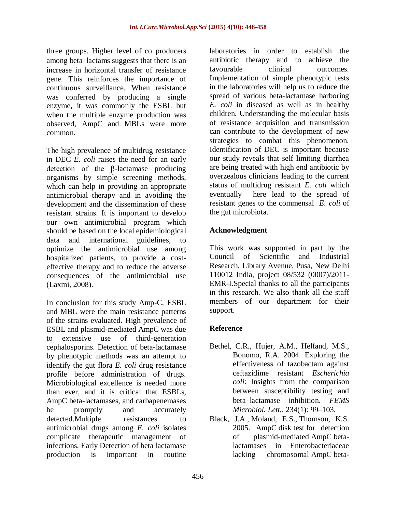three groups. Higher level of co producers among beta-lactams suggests that there is an increase in horizontal transfer of resistance gene. This reinforces the importance of continuous surveillance. When resistance was conferred by producing a single enzyme, it was commonly the ESBL but when the multiple enzyme production was observed, AmpC and MBLs were more common.

The high prevalence of multidrug resistance in DEC *E. coli* raises the need for an early detection of the β-lactamase producing organisms by simple screening methods, which can help in providing an appropriate antimicrobial therapy and in avoiding the development and the dissemination of these resistant strains. It is important to develop our own antimicrobial program which should be based on the local epidemiological data and international guidelines, to optimize the antimicrobial use among hospitalized patients, to provide a costeffective therapy and to reduce the adverse consequences of the antimicrobial use (Laxmi, 2008).

In conclusion for this study Amp-C, ESBL and MBL were the main resistance patterns of the strains evaluated. High prevalence of ESBL and plasmid-mediated AmpC was due to extensive use of third-generation cephalosporins. Detection of beta-lactamase by phenotypic methods was an attempt to identify the gut flora *E. coli* drug resistance profile before administration of drugs. Microbiological excellence is needed more than ever, and it is critical that ESBLs, AmpC beta-lactamases, and carbapenemases be promptly and accurately detected.Multiple resistances to antimicrobial drugs among *E. coli* isolates complicate therapeutic management of infections. Early Detection of beta lactamase production is important in routine

laboratories in order to establish the antibiotic therapy and to achieve the favourable clinical outcomes. Implementation of simple phenotypic tests in the laboratories will help us to reduce the spread of various beta-lactamase harboring *E. coli* in diseased as well as in healthy children. Understanding the molecular basis of resistance acquisition and transmission can contribute to the development of new strategies to combat this phenomenon. Identification of DEC is important because our study reveals that self limiting diarrhea are being treated with high end antibiotic by overzealous clinicians leading to the current status of multidrug resistant *E. coli* which eventually here lead to the spread of resistant genes to the commensal *E. coli* of the gut microbiota.

## **Acknowledgment**

This work was supported in part by the Council of Scientific and Industrial Research, Library Avenue, Pusa, New Delhi 110012 India, project 08/532 (0007)/2011- EMR-I.Special thanks to all the participants in this research. We also thank all the staff members of our department for their support.

### **Reference**

- Bethel, C.R., Hujer, A.M., Helfand, M.S., Bonomo, R.A. 2004. Exploring the effectiveness of tazobactam against ceftazidime resistant *Escherichia coli*: Insights from the comparison between susceptibility testing and beta‑lactamase inhibition. *FEMS Microbiol. Lett.,* 234(1): 99–103.
- [Black, J.A.](http://www.ncbi.nlm.nih.gov/pubmed/?term=Black%20JA%5BAuthor%5D&cauthor=true&cauthor_uid=16000421), [Moland, E.S.](http://www.ncbi.nlm.nih.gov/pubmed/?term=Moland%20ES%5BAuthor%5D&cauthor=true&cauthor_uid=16000421), [Thomson, K.S.](http://www.ncbi.nlm.nih.gov/pubmed/?term=Thomson%20KS%5BAuthor%5D&cauthor=true&cauthor_uid=16000421) 2005. AmpC disk test for detection of plasmid-mediated AmpC betalactamases in Enterobacteriaceae lacking chromosomal AmpC beta-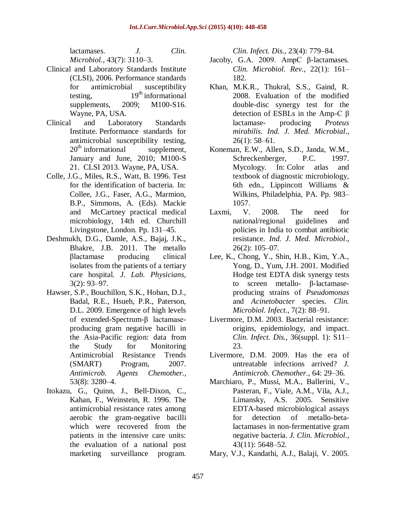lactamases. *[J. Clin.](http://www.ncbi.nlm.nih.gov/pubmed/16000421)  [Microbiol.,](http://www.ncbi.nlm.nih.gov/pubmed/16000421)* 43(7): 3110–3.

- Clinical and Laboratory Standards Institute (CLSI), 2006. Performance standards for antimicrobial susceptibility testing,  $19<sup>th</sup>$  informational supplements, 2009; M100-S16. Wayne, PA, USA.
- Clinical and Laboratory Standards Institute. Performance standards for antimicrobial susceptibility testing,  $20<sup>th</sup>$  informational supplement, January and June, 2010; M100-S 21. CLSI 2013. Wayne, PA, USA.
- Colle, J.G., Miles, R.S., Watt, B. 1996. Test for the identification of bacteria. In: Collee, J.G., Faser, A.G., Marmion, B.P., Simmons, A. (Eds). Mackie and McCartney practical medical microbiology, 14th ed. Churchill Livingstone, London. Pp. 131–45.
- Deshmukh, D.G., Damle, A.S., Bajaj, J.K., Bhakre, J.B. 2011. The metallo βlactamase producing clinical isolates from the patients of a tertiary care hospital. *J. Lab. Physicians,* 3(2): 93–97.
- Hawser, S.P., Bouchillon, S.K., Hoban, D.J., Badal, R.E., Hsueh, P.R., Paterson, D.L. 2009. Emergence of high levels of extended-Spectrum-β lactamaseproducing gram negative bacilli in the Asia-Pacific region: data from the Study for Monitoring Antimicrobial Resistance Trends (SMART) Program, 2007. *Antimicrob. Agents Chemother.,*  53(8): 3280–4.
- Itokazu, G., Quinn, J., Bell-Dixon, C., Kahan, F., Weinstein, R. 1996. The antimicrobial resistance rates among aerobic the gram-negative bacilli which were recovered from the patients in the intensive care units: the evaluation of a national post marketing surveillance program.

*Clin. Infect. Dis.,* 23(4): 779–84.

- Jacoby, G.A. 2009. AmpC β-lactamases*. Clin. Microbiol. Rev.,* 22(1): 161– 182.
- Khan, M.K.R., Thukral, S.S., Gaind, R. 2008. Evaluation of the modified double-disc synergy test for the detection of ESBLs in the Amp-C β lactamase- producing *Proteus mirabilis. Ind. J. Med. Microbial*., 26(1): 58–61.
- Koneman, E.W., Allen, S.D., Janda, W.M., Schreckenberger, P.C. 1997. Mycology. In: Color atlas and textbook of diagnostic microbiology, 6th edn., Lippincott Williams & Wilkins, Philadelphia, PA. Pp. 983– 1057.
- Laxmi, V. 2008. The need for national/regional guidelines and policies in India to combat antibiotic resistance. *Ind. J. Med. Microbiol*., 26(2): 105–07.
- Lee, K., Chong, Y., Shin, H.B., Kim, Y.A., Yong, D., Yum, J.H. 2001. Modified Hodge test EDTA disk synergy tests to screen metallo- β-lactamaseproducing strains of *Pseudomonas* and *Acinetobacter* species. *Clin. Microbiol. Infect*., 7(2): 88–91.
- Livermore, D.M. 2003. Bacterial resistance: origins, epidemiology, and impact. *Clin. Infect. Dis.,* 36(suppl. 1): S11– 23.
- Livermore, D.M. 2009. Has the era of untreatable infections arrived? *J. Antimicrob. Chemother*., 64: 29–36.
- Marchiaro, P., Mussi, M.A., Ballerini, V., Pasteran, F., Viale, A.M., Vila, A.J., Limansky, A.S. 2005. Sensitive EDTA-based microbiological assays for detection of metallo-betalactamases in non-fermentative gram negative bacteria. *J. Clin. Microbiol.,* 43(11): 5648–52.
- Mary, V.J., Kandathi, A.J., Balaji, V. 2005.